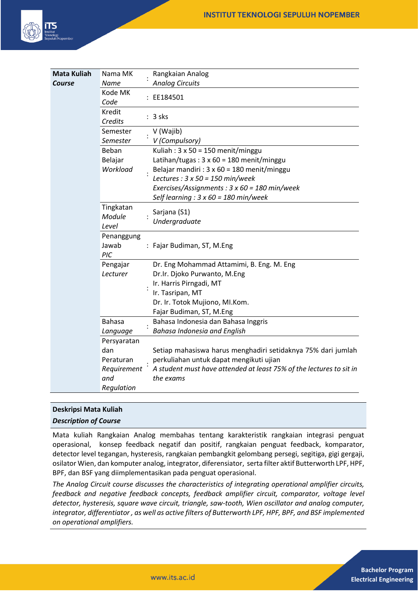

| <b>Mata Kuliah</b> | Nama MK       | Rangkaian Analog                                                    |
|--------------------|---------------|---------------------------------------------------------------------|
| Course             | <b>Name</b>   | <b>Analog Circuits</b>                                              |
|                    | Kode MK       | EE184501                                                            |
|                    | Code          |                                                                     |
|                    | Kredit        | 3 sks                                                               |
|                    | Credits       |                                                                     |
|                    | Semester      | V (Wajib)                                                           |
|                    | Semester      | V (Compulsory)                                                      |
|                    | Beban         | Kuliah: $3 \times 50 = 150$ menit/minggu                            |
|                    | Belajar       | Latihan/tugas: $3 \times 60 = 180$ menit/minggu                     |
|                    | Workload      | Belajar mandiri : $3 \times 60 = 180$ menit/minggu                  |
|                    |               | Lectures : $3 \times 50 = 150$ min/week                             |
|                    |               | Exercises/Assignments: 3 x 60 = 180 min/week                        |
|                    |               | Self learning : $3 \times 60 = 180$ min/week                        |
|                    | Tingkatan     | Sarjana (S1)<br>Undergraduate                                       |
|                    | Module        |                                                                     |
|                    | Level         |                                                                     |
|                    | Penanggung    |                                                                     |
|                    | Jawab         | : Fajar Budiman, ST, M.Eng                                          |
|                    | PIC           |                                                                     |
|                    | Pengajar      | Dr. Eng Mohammad Attamimi, B. Eng. M. Eng                           |
|                    | Lecturer      | Dr.Ir. Djoko Purwanto, M.Eng                                        |
|                    |               | Ir. Harris Pirngadi, MT                                             |
|                    |               | Ir. Tasripan, MT                                                    |
|                    |               | Dr. Ir. Totok Mujiono, MI.Kom.                                      |
|                    |               | Fajar Budiman, ST, M.Eng                                            |
|                    | <b>Bahasa</b> | Bahasa Indonesia dan Bahasa Inggris                                 |
|                    | Language      | Bahasa Indonesia and English                                        |
|                    | Persyaratan   |                                                                     |
|                    | dan           | Setiap mahasiswa harus menghadiri setidaknya 75% dari jumlah        |
|                    | Peraturan     | perkuliahan untuk dapat mengikuti ujian                             |
|                    | Requirement   | A student must have attended at least 75% of the lectures to sit in |
|                    | and           | the exams                                                           |
|                    | Regulation    |                                                                     |

# **Deskripsi Mata Kuliah**

*Description of Course*

Mata kuliah Rangkaian Analog membahas tentang karakteristik rangkaian integrasi penguat operasional, konsep feedback negatif dan positif, rangkaian penguat feedback, komparator, detector level tegangan, hysteresis, rangkaian pembangkit gelombang persegi, segitiga, gigi gergaji, osilator Wien, dan komputer analog, integrator, diferensiator, serta filter aktif Butterworth LPF, HPF, BPF, dan BSF yang diimplementasikan pada penguat operasional.

*The Analog Circuit course discusses the characteristics of integrating operational amplifier circuits, feedback and negative feedback concepts, feedback amplifier circuit, comparator, voltage level detector, hysteresis, square wave circuit, triangle, saw-tooth, Wien oscillator and analog computer, integrator, differentiator , as well as active filters of Butterworth LPF, HPF, BPF, and BSF implemented on operational amplifiers.*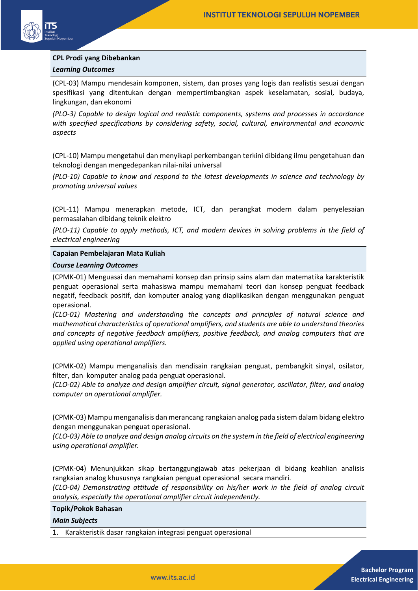

# **CPL Prodi yang Dibebankan** *Learning Outcomes*

(CPL-03) Mampu mendesain komponen, sistem, dan proses yang logis dan realistis sesuai dengan spesifikasi yang ditentukan dengan mempertimbangkan aspek keselamatan, sosial, budaya, lingkungan, dan ekonomi

*(PLO-3) Capable to design logical and realistic components, systems and processes in accordance with specified specifications by considering safety, social, cultural, environmental and economic aspects* 

(CPL-10) Mampu mengetahui dan menyikapi perkembangan terkini dibidang ilmu pengetahuan dan teknologi dengan mengedepankan nilai-nilai universal

*(PLO-10) Capable to know and respond to the latest developments in science and technology by promoting universal values* 

(CPL-11) Mampu menerapkan metode, ICT, dan perangkat modern dalam penyelesaian permasalahan dibidang teknik elektro

*(PLO-11) Capable to apply methods, ICT, and modern devices in solving problems in the field of electrical engineering*

#### **Capaian Pembelajaran Mata Kuliah**

#### *Course Learning Outcomes*

(CPMK-01) Menguasai dan memahami konsep dan prinsip sains alam dan matematika karakteristik penguat operasional serta mahasiswa mampu memahami teori dan konsep penguat feedback negatif, feedback positif, dan komputer analog yang diaplikasikan dengan menggunakan penguat operasional.

*(CLO-01) Mastering and understanding the concepts and principles of natural science and mathematical characteristics of operational amplifiers, and students are able to understand theories and concepts of negative feedback amplifiers, positive feedback, and analog computers that are applied using operational amplifiers.*

(CPMK-02) Mampu menganalisis dan mendisain rangkaian penguat, pembangkit sinyal, osilator, filter, dan komputer analog pada penguat operasional.

*(CLO-02) Able to analyze and design amplifier circuit, signal generator, oscillator, filter, and analog computer on operational amplifier.*

(CPMK-03) Mampu menganalisis dan merancang rangkaian analog pada sistem dalam bidang elektro dengan menggunakan penguat operasional.

*(CLO-03) Able to analyze and design analog circuits on the system in the field of electrical engineering using operational amplifier.*

(CPMK-04) Menunjukkan sikap bertanggungjawab atas pekerjaan di bidang keahlian analisis rangkaian analog khususnya rangkaian penguat operasional secara mandiri.

*(CLO-04) Demonstrating attitude of responsibility on his/her work in the field of analog circuit analysis, especially the operational amplifier circuit independently.*

#### **Topik/Pokok Bahasan**

#### *Main Subjects*

1. Karakteristik dasar rangkaian integrasi penguat operasional